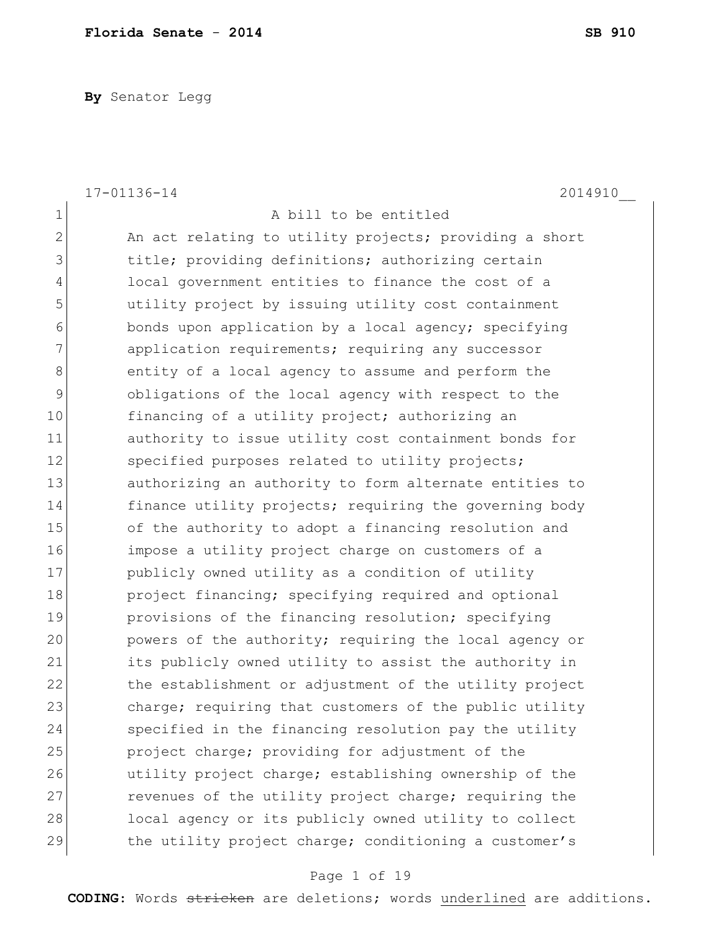**By** Senator Legg

|              | 17-01136-14<br>2014910                                 |
|--------------|--------------------------------------------------------|
| $\mathbf 1$  | A bill to be entitled                                  |
| $\mathbf{2}$ | An act relating to utility projects; providing a short |
| 3            | title; providing definitions; authorizing certain      |
| 4            | local government entities to finance the cost of a     |
| 5            | utility project by issuing utility cost containment    |
| 6            | bonds upon application by a local agency; specifying   |
| 7            | application requirements; requiring any successor      |
| 8            | entity of a local agency to assume and perform the     |
| 9            | obligations of the local agency with respect to the    |
| 10           | financing of a utility project; authorizing an         |
| 11           | authority to issue utility cost containment bonds for  |
| 12           | specified purposes related to utility projects;        |
| 13           | authorizing an authority to form alternate entities to |
| 14           | finance utility projects; requiring the governing body |
| 15           | of the authority to adopt a financing resolution and   |
| 16           | impose a utility project charge on customers of a      |
| 17           | publicly owned utility as a condition of utility       |
| 18           | project financing; specifying required and optional    |
| 19           | provisions of the financing resolution; specifying     |
| 20           | powers of the authority; requiring the local agency or |
| 21           | its publicly owned utility to assist the authority in  |
| 22           | the establishment or adjustment of the utility project |
| 23           | charge; requiring that customers of the public utility |
| 24           | specified in the financing resolution pay the utility  |
| 25           | project charge; providing for adjustment of the        |
| 26           | utility project charge; establishing ownership of the  |
| 27           | revenues of the utility project charge; requiring the  |
| 28           | local agency or its publicly owned utility to collect  |
| 29           | the utility project charge; conditioning a customer's  |

# Page 1 of 19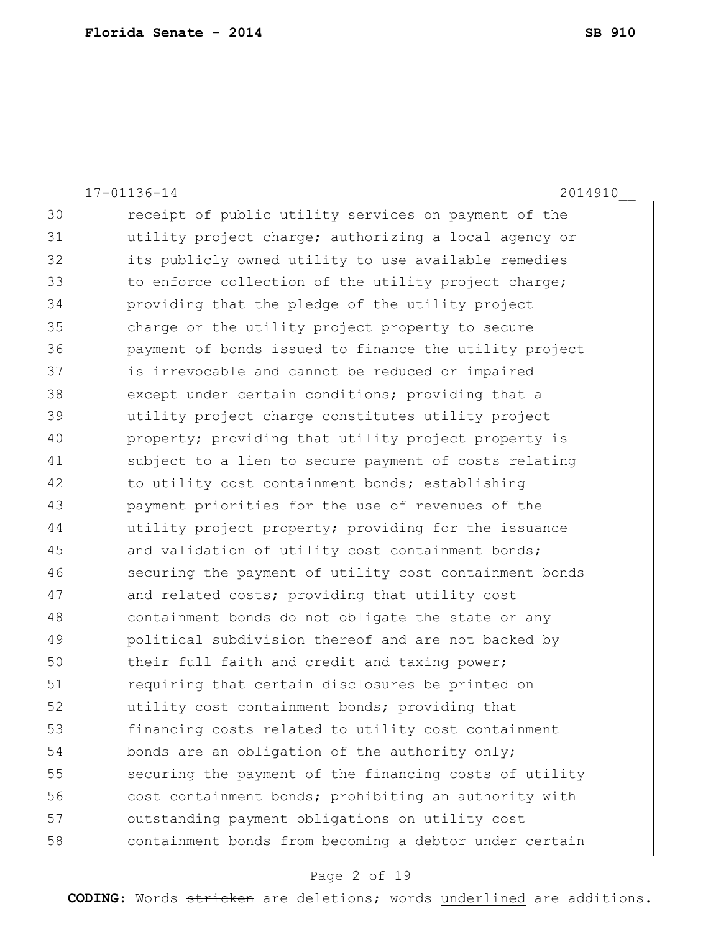|    | 2014910<br>17-01136-14                                 |
|----|--------------------------------------------------------|
| 30 | receipt of public utility services on payment of the   |
| 31 | utility project charge; authorizing a local agency or  |
| 32 | its publicly owned utility to use available remedies   |
| 33 | to enforce collection of the utility project charge;   |
| 34 | providing that the pledge of the utility project       |
| 35 | charge or the utility project property to secure       |
| 36 | payment of bonds issued to finance the utility project |
| 37 | is irrevocable and cannot be reduced or impaired       |
| 38 | except under certain conditions; providing that a      |
| 39 | utility project charge constitutes utility project     |
| 40 | property; providing that utility project property is   |
| 41 | subject to a lien to secure payment of costs relating  |
| 42 | to utility cost containment bonds; establishing        |
| 43 | payment priorities for the use of revenues of the      |
| 44 | utility project property; providing for the issuance   |
| 45 | and validation of utility cost containment bonds;      |
| 46 | securing the payment of utility cost containment bonds |
| 47 | and related costs; providing that utility cost         |
| 48 | containment bonds do not obligate the state or any     |
| 49 | political subdivision thereof and are not backed by    |
| 50 | their full faith and credit and taxing power;          |
| 51 | requiring that certain disclosures be printed on       |
| 52 | utility cost containment bonds; providing that         |
| 53 | financing costs related to utility cost containment    |
| 54 | bonds are an obligation of the authority only;         |
| 55 | securing the payment of the financing costs of utility |
| 56 | cost containment bonds; prohibiting an authority with  |
| 57 | outstanding payment obligations on utility cost        |
| 58 | containment bonds from becoming a debtor under certain |

# Page 2 of 19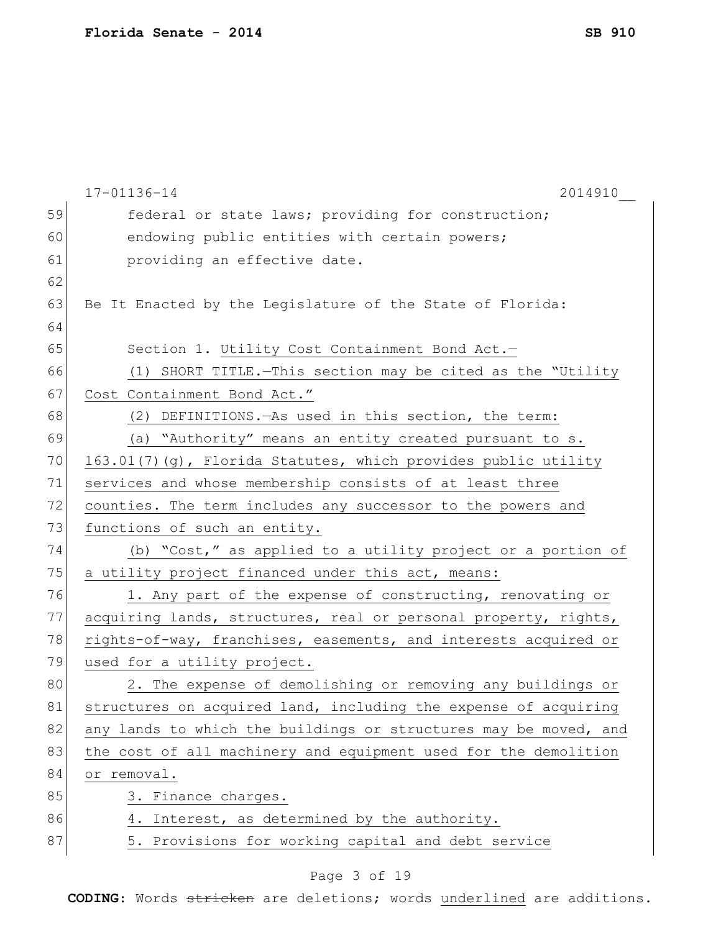|    | 17-01136-14<br>2014910                                           |
|----|------------------------------------------------------------------|
| 59 | federal or state laws; providing for construction;               |
| 60 | endowing public entities with certain powers;                    |
| 61 | providing an effective date.                                     |
| 62 |                                                                  |
| 63 | Be It Enacted by the Legislature of the State of Florida:        |
| 64 |                                                                  |
| 65 | Section 1. Utility Cost Containment Bond Act.-                   |
| 66 | (1) SHORT TITLE. - This section may be cited as the "Utility     |
| 67 | Cost Containment Bond Act."                                      |
| 68 | (2) DEFINITIONS. As used in this section, the term:              |
| 69 | (a) "Authority" means an entity created pursuant to s.           |
| 70 | 163.01(7)(g), Florida Statutes, which provides public utility    |
| 71 | services and whose membership consists of at least three         |
| 72 | counties. The term includes any successor to the powers and      |
| 73 | functions of such an entity.                                     |
| 74 | (b) "Cost," as applied to a utility project or a portion of      |
| 75 | a utility project financed under this act, means:                |
| 76 | 1. Any part of the expense of constructing, renovating or        |
| 77 | acquiring lands, structures, real or personal property, rights,  |
| 78 | rights-of-way, franchises, easements, and interests acquired or  |
| 79 | used for a utility project.                                      |
| 80 | 2. The expense of demolishing or removing any buildings or       |
| 81 | structures on acquired land, including the expense of acquiring  |
| 82 | any lands to which the buildings or structures may be moved, and |
| 83 | the cost of all machinery and equipment used for the demolition  |
| 84 | or removal.                                                      |
| 85 | 3. Finance charges.                                              |
| 86 | 4. Interest, as determined by the authority.                     |
| 87 | 5. Provisions for working capital and debt service               |

# Page 3 of 19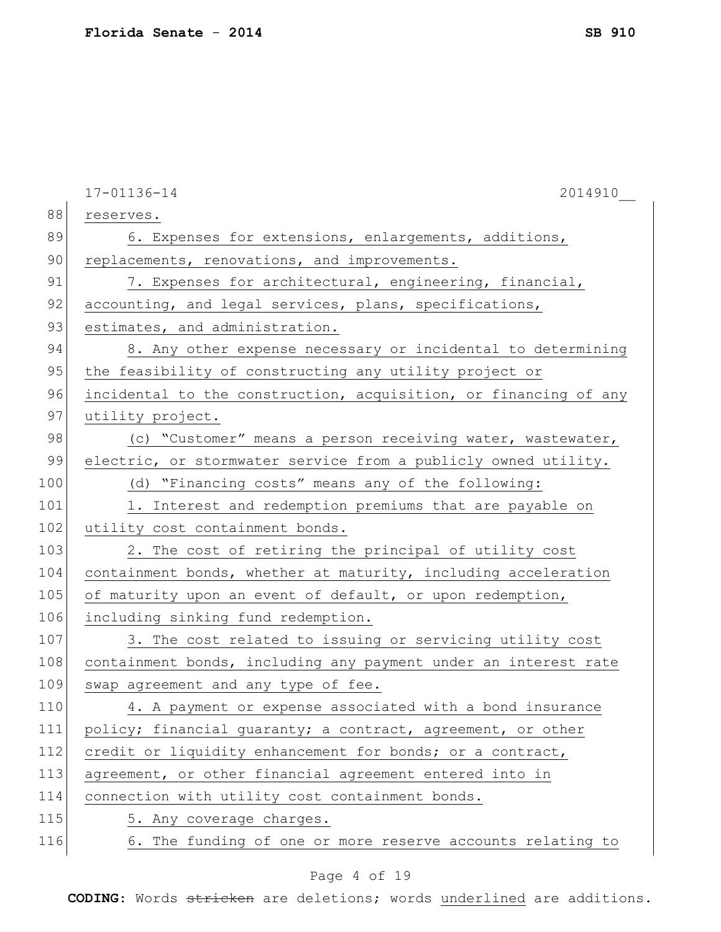|     | 17-01136-14<br>2014910                                           |
|-----|------------------------------------------------------------------|
| 88  | reserves.                                                        |
| 89  | 6. Expenses for extensions, enlargements, additions,             |
| 90  | replacements, renovations, and improvements.                     |
| 91  | 7. Expenses for architectural, engineering, financial,           |
| 92  | accounting, and legal services, plans, specifications,           |
| 93  | estimates, and administration.                                   |
| 94  | 8. Any other expense necessary or incidental to determining      |
| 95  | the feasibility of constructing any utility project or           |
| 96  | incidental to the construction, acquisition, or financing of any |
| 97  | utility project.                                                 |
| 98  | (c) "Customer" means a person receiving water, wastewater,       |
| 99  | electric, or stormwater service from a publicly owned utility.   |
| 100 | (d) "Financing costs" means any of the following:                |
| 101 | 1. Interest and redemption premiums that are payable on          |
| 102 | utility cost containment bonds.                                  |
| 103 | 2. The cost of retiring the principal of utility cost            |
| 104 | containment bonds, whether at maturity, including acceleration   |
| 105 | of maturity upon an event of default, or upon redemption,        |
| 106 | including sinking fund redemption.                               |
| 107 | 3. The cost related to issuing or servicing utility cost         |
| 108 | containment bonds, including any payment under an interest rate  |
| 109 | swap agreement and any type of fee.                              |
| 110 | 4. A payment or expense associated with a bond insurance         |
| 111 | policy; financial guaranty; a contract, agreement, or other      |
| 112 | credit or liquidity enhancement for bonds; or a contract,        |
| 113 | agreement, or other financial agreement entered into in          |
| 114 | connection with utility cost containment bonds.                  |
| 115 | 5. Any coverage charges.                                         |
| 116 | 6. The funding of one or more reserve accounts relating to       |
|     |                                                                  |

# Page 4 of 19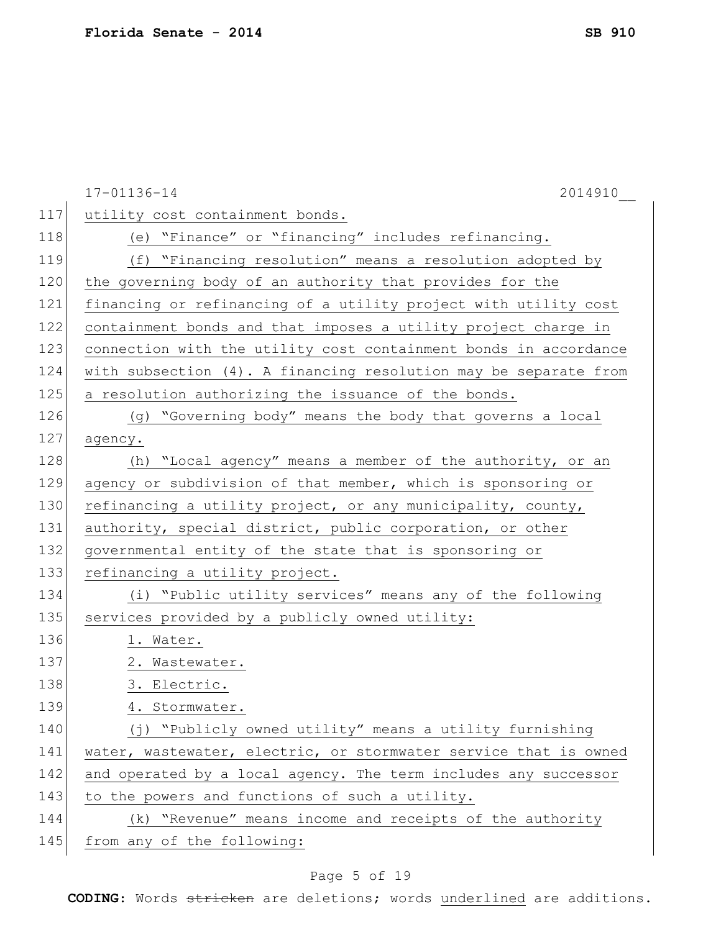|     | 2014910<br>17-01136-14                                           |
|-----|------------------------------------------------------------------|
| 117 | utility cost containment bonds.                                  |
| 118 | (e) "Finance" or "financing" includes refinancing.               |
| 119 | (f) "Financing resolution" means a resolution adopted by         |
| 120 | the governing body of an authority that provides for the         |
| 121 | financing or refinancing of a utility project with utility cost  |
| 122 | containment bonds and that imposes a utility project charge in   |
| 123 | connection with the utility cost containment bonds in accordance |
| 124 | with subsection (4). A financing resolution may be separate from |
| 125 | a resolution authorizing the issuance of the bonds.              |
| 126 | (g) "Governing body" means the body that governs a local         |
| 127 | agency.                                                          |
| 128 | (h) "Local agency" means a member of the authority, or an        |
| 129 | agency or subdivision of that member, which is sponsoring or     |
| 130 | refinancing a utility project, or any municipality, county,      |
| 131 | authority, special district, public corporation, or other        |
| 132 | governmental entity of the state that is sponsoring or           |
| 133 | refinancing a utility project.                                   |
| 134 | (i) "Public utility services" means any of the following         |
| 135 | services provided by a publicly owned utility:                   |
| 136 | 1. Water.                                                        |
| 137 | 2. Wastewater.                                                   |
| 138 | 3. Electric.                                                     |
| 139 | 4. Stormwater.                                                   |
| 140 | (j) "Publicly owned utility" means a utility furnishing          |
| 141 | water, wastewater, electric, or stormwater service that is owned |
| 142 | and operated by a local agency. The term includes any successor  |
| 143 | to the powers and functions of such a utility.                   |
| 144 | (k) "Revenue" means income and receipts of the authority         |
| 145 | from any of the following:                                       |

# Page 5 of 19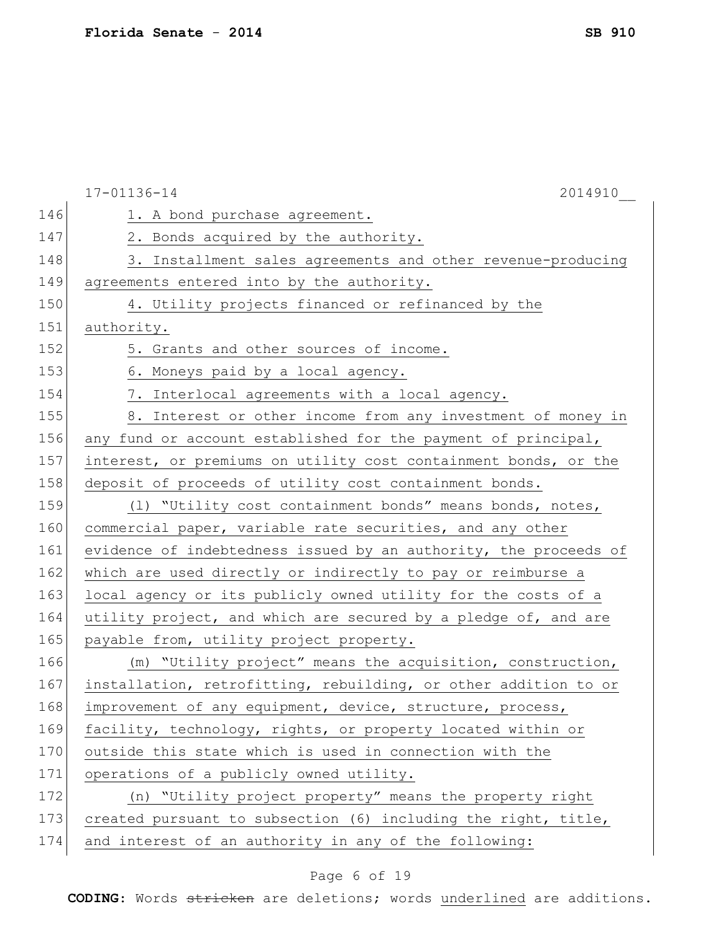|     | 17-01136-14<br>2014910                                           |
|-----|------------------------------------------------------------------|
| 146 | 1. A bond purchase agreement.                                    |
| 147 | 2. Bonds acquired by the authority.                              |
| 148 | 3. Installment sales agreements and other revenue-producing      |
| 149 | agreements entered into by the authority.                        |
| 150 | 4. Utility projects financed or refinanced by the                |
| 151 | authority.                                                       |
| 152 | 5. Grants and other sources of income.                           |
| 153 | 6. Moneys paid by a local agency.                                |
| 154 | 7. Interlocal agreements with a local agency.                    |
| 155 | 8. Interest or other income from any investment of money in      |
| 156 | any fund or account established for the payment of principal,    |
| 157 | interest, or premiums on utility cost containment bonds, or the  |
| 158 | deposit of proceeds of utility cost containment bonds.           |
| 159 | (1) "Utility cost containment bonds" means bonds, notes,         |
| 160 | commercial paper, variable rate securities, and any other        |
| 161 | evidence of indebtedness issued by an authority, the proceeds of |
| 162 | which are used directly or indirectly to pay or reimburse a      |
| 163 | local agency or its publicly owned utility for the costs of a    |
| 164 | utility project, and which are secured by a pledge of, and are   |
| 165 | payable from, utility project property.                          |
| 166 | (m) "Utility project" means the acquisition, construction,       |
| 167 | installation, retrofitting, rebuilding, or other addition to or  |
| 168 | improvement of any equipment, device, structure, process,        |
| 169 | facility, technology, rights, or property located within or      |
| 170 | outside this state which is used in connection with the          |
| 171 | operations of a publicly owned utility.                          |
| 172 | (n) "Utility project property" means the property right          |
| 173 | created pursuant to subsection (6) including the right, title,   |
| 174 | and interest of an authority in any of the following:            |

# Page 6 of 19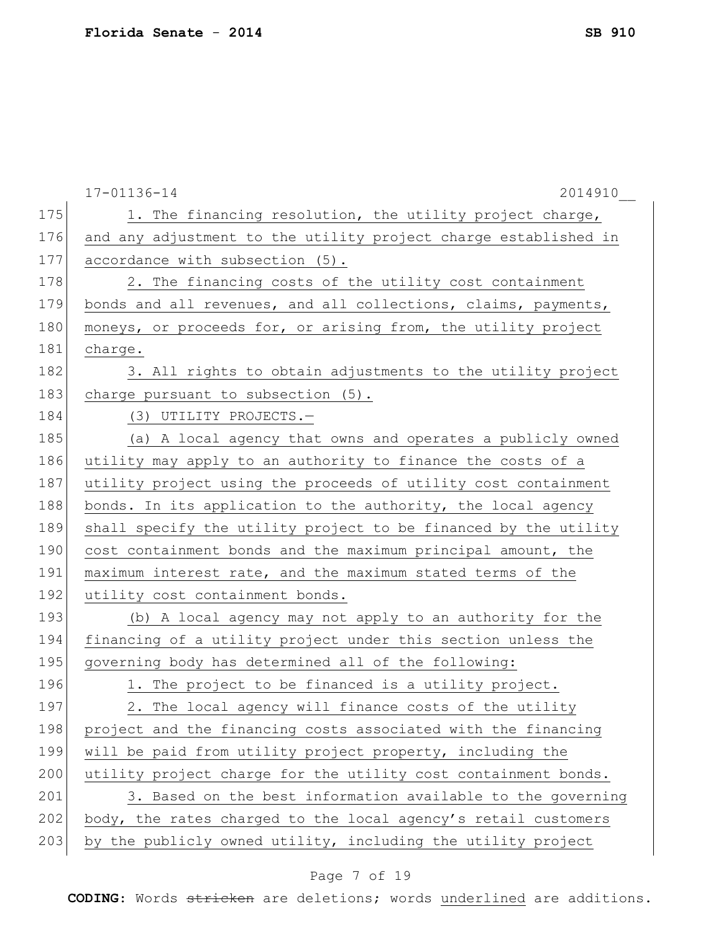|     | 17-01136-14<br>2014910                                              |
|-----|---------------------------------------------------------------------|
| 175 | 1. The financing resolution, the utility project charge,            |
| 176 | and any adjustment to the utility project charge established in     |
| 177 | accordance with subsection (5).                                     |
| 178 | 2. The financing costs of the utility cost containment              |
| 179 | bonds and all revenues, and all collections, claims, payments,      |
| 180 | moneys, or proceeds for, or arising from, the utility project       |
| 181 | charge.                                                             |
| 182 | 3. All rights to obtain adjustments to the utility project          |
| 183 | charge pursuant to subsection (5).                                  |
| 184 | (3) UTILITY PROJECTS.-                                              |
| 185 | (a) A local agency that owns and operates a publicly owned          |
| 186 | utility may apply to an authority to finance the costs of a         |
| 187 | utility project using the proceeds of utility cost containment      |
| 188 | bonds. In its application to the authority, the local agency        |
| 189 | shall specify the utility project to be financed by the utility     |
| 190 | cost containment bonds and the maximum principal amount, the        |
| 191 | maximum interest rate, and the maximum stated terms of the          |
| 192 | utility cost containment bonds.                                     |
| 193 | (b) A local agency may not apply to an authority for the            |
| 194 | financing of a utility project under this section unless the        |
| 195 | governing body has determined all of the following:                 |
| 196 | 1. The project to be financed is a utility project.                 |
| 197 | The local agency will finance costs of the utility<br>$\mathcal{P}$ |
| 198 | project and the financing costs associated with the financing       |
| 199 | will be paid from utility project property, including the           |
| 200 | utility project charge for the utility cost containment bonds.      |
| 201 | 3. Based on the best information available to the governing         |
| 202 | body, the rates charged to the local agency's retail customers      |
| 203 | by the publicly owned utility, including the utility project        |

# Page 7 of 19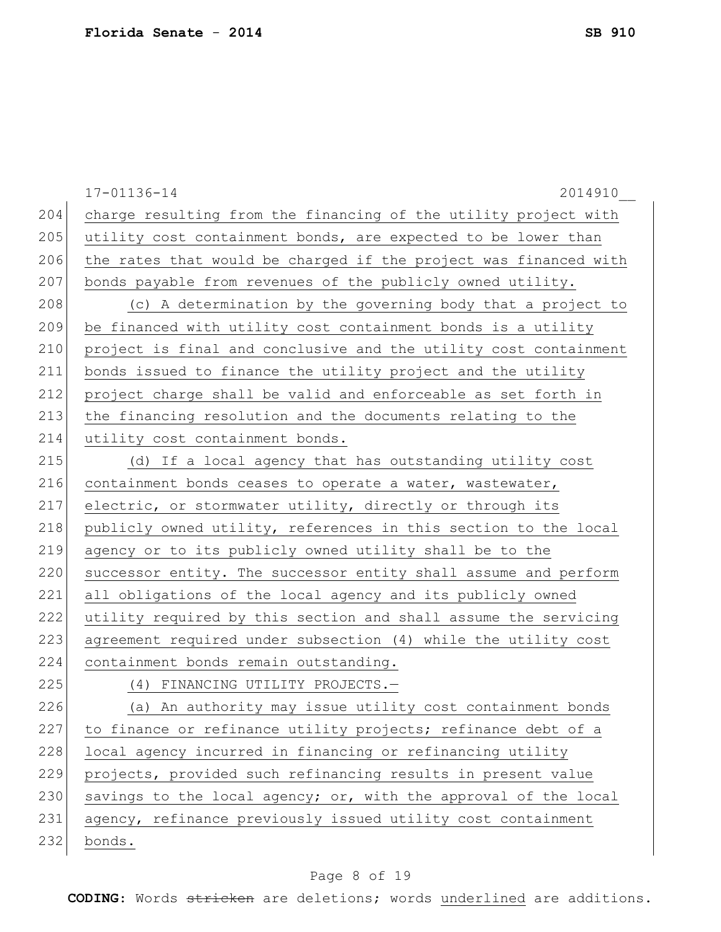|     | 17-01136-14<br>2014910                                           |
|-----|------------------------------------------------------------------|
| 204 | charge resulting from the financing of the utility project with  |
| 205 | utility cost containment bonds, are expected to be lower than    |
| 206 | the rates that would be charged if the project was financed with |
| 207 | bonds payable from revenues of the publicly owned utility.       |
| 208 | (c) A determination by the governing body that a project to      |
| 209 | be financed with utility cost containment bonds is a utility     |
| 210 | project is final and conclusive and the utility cost containment |
| 211 | bonds issued to finance the utility project and the utility      |
| 212 | project charge shall be valid and enforceable as set forth in    |
| 213 | the financing resolution and the documents relating to the       |
| 214 | utility cost containment bonds.                                  |
| 215 | (d) If a local agency that has outstanding utility cost          |
| 216 | containment bonds ceases to operate a water, wastewater,         |
| 217 | electric, or stormwater utility, directly or through its         |
| 218 | publicly owned utility, references in this section to the local  |
| 219 | agency or to its publicly owned utility shall be to the          |
| 220 | successor entity. The successor entity shall assume and perform  |
| 221 | all obligations of the local agency and its publicly owned       |
| 222 | utility required by this section and shall assume the servicing  |
| 223 | agreement required under subsection (4) while the utility cost   |
| 224 | containment bonds remain outstanding.                            |
| 225 | (4) FINANCING UTILITY PROJECTS.-                                 |
| 226 | (a) An authority may issue utility cost containment bonds        |
| 227 | to finance or refinance utility projects; refinance debt of a    |
| 228 | local agency incurred in financing or refinancing utility        |
| 229 | projects, provided such refinancing results in present value     |
| 230 | savings to the local agency; or, with the approval of the local  |
| 231 | agency, refinance previously issued utility cost containment     |
| 232 | bonds.                                                           |

# Page 8 of 19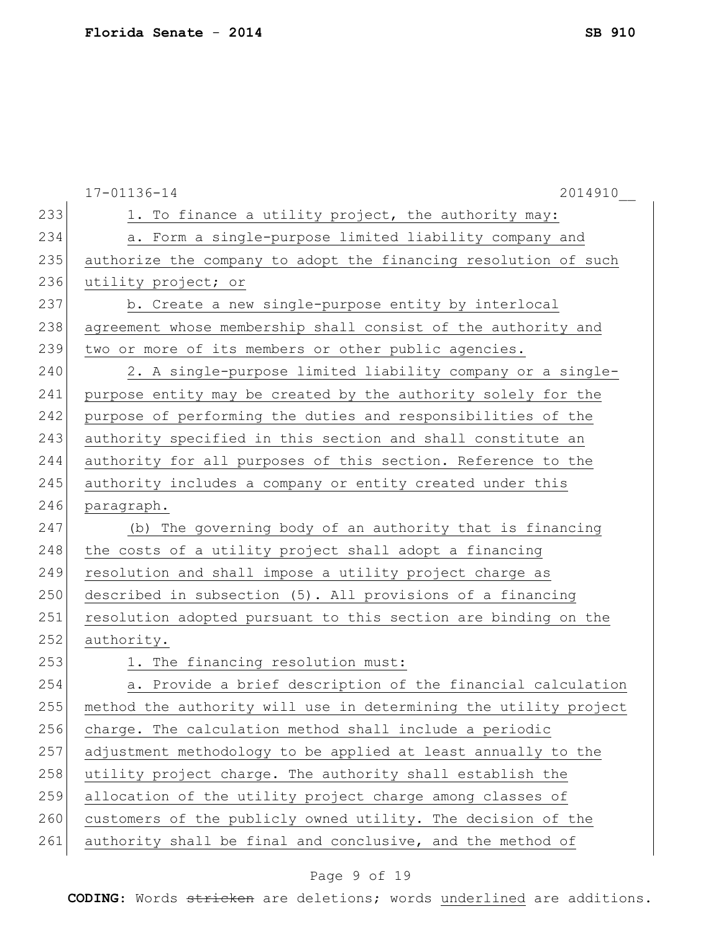|     | $17 - 01136 - 14$<br>2014910                                     |
|-----|------------------------------------------------------------------|
| 233 | 1. To finance a utility project, the authority may:              |
| 234 | a. Form a single-purpose limited liability company and           |
| 235 | authorize the company to adopt the financing resolution of such  |
| 236 | utility project; or                                              |
| 237 | b. Create a new single-purpose entity by interlocal              |
| 238 | agreement whose membership shall consist of the authority and    |
| 239 | two or more of its members or other public agencies.             |
| 240 | 2. A single-purpose limited liability company or a single-       |
| 241 | purpose entity may be created by the authority solely for the    |
| 242 | purpose of performing the duties and responsibilities of the     |
| 243 | authority specified in this section and shall constitute an      |
| 244 | authority for all purposes of this section. Reference to the     |
| 245 | authority includes a company or entity created under this        |
| 246 | paragraph.                                                       |
| 247 | (b) The governing body of an authority that is financing         |
| 248 | the costs of a utility project shall adopt a financing           |
| 249 | resolution and shall impose a utility project charge as          |
| 250 | described in subsection (5). All provisions of a financing       |
| 251 | resolution adopted pursuant to this section are binding on the   |
| 252 | authority.                                                       |
| 253 | 1. The financing resolution must:                                |
| 254 | a. Provide a brief description of the financial calculation      |
| 255 | method the authority will use in determining the utility project |
| 256 | charge. The calculation method shall include a periodic          |
| 257 | adjustment methodology to be applied at least annually to the    |
| 258 | utility project charge. The authority shall establish the        |
| 259 | allocation of the utility project charge among classes of        |
| 260 | customers of the publicly owned utility. The decision of the     |
| 261 | authority shall be final and conclusive, and the method of       |
|     |                                                                  |

# Page 9 of 19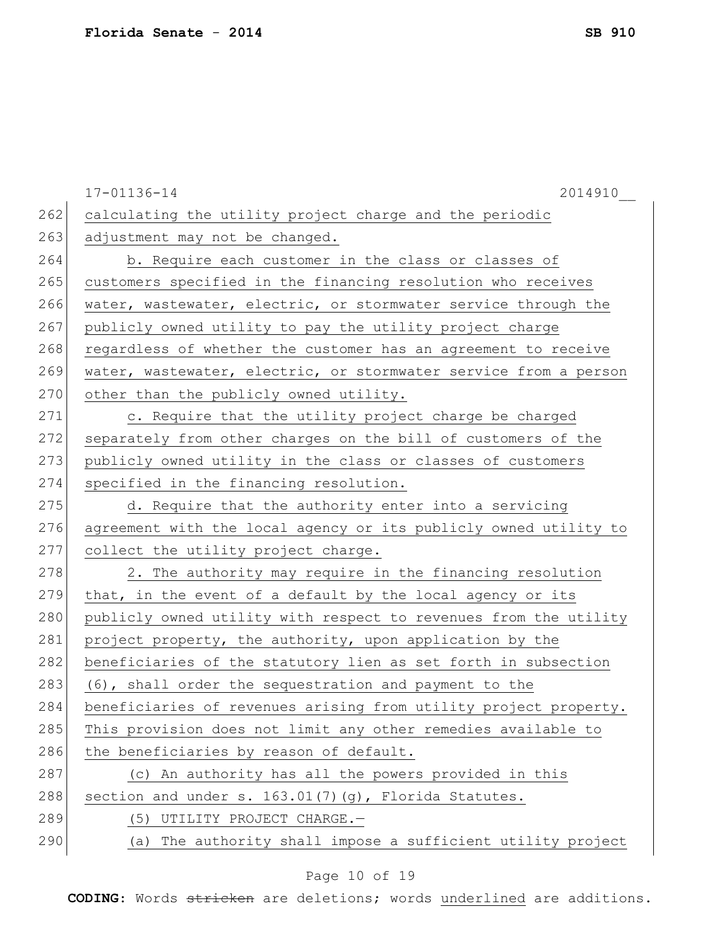|     | 17-01136-14<br>2014910                                           |
|-----|------------------------------------------------------------------|
| 262 | calculating the utility project charge and the periodic          |
| 263 | adjustment may not be changed.                                   |
| 264 | b. Require each customer in the class or classes of              |
| 265 | customers specified in the financing resolution who receives     |
| 266 | water, wastewater, electric, or stormwater service through the   |
| 267 | publicly owned utility to pay the utility project charge         |
| 268 | regardless of whether the customer has an agreement to receive   |
| 269 | water, wastewater, electric, or stormwater service from a person |
| 270 | other than the publicly owned utility.                           |
| 271 | c. Require that the utility project charge be charged            |
| 272 | separately from other charges on the bill of customers of the    |
| 273 | publicly owned utility in the class or classes of customers      |
| 274 | specified in the financing resolution.                           |
| 275 | d. Require that the authority enter into a servicing             |
| 276 | agreement with the local agency or its publicly owned utility to |
| 277 | collect the utility project charge.                              |
| 278 | 2. The authority may require in the financing resolution         |
| 279 | that, in the event of a default by the local agency or its       |
| 280 | publicly owned utility with respect to revenues from the utility |
| 281 | project property, the authority, upon application by the         |
| 282 | beneficiaries of the statutory lien as set forth in subsection   |
| 283 | (6), shall order the sequestration and payment to the            |
| 284 | beneficiaries of revenues arising from utility project property. |
| 285 | This provision does not limit any other remedies available to    |
| 286 | the beneficiaries by reason of default.                          |
| 287 | (c) An authority has all the powers provided in this             |
| 288 | section and under s. 163.01(7)(g), Florida Statutes.             |
| 289 | (5) UTILITY PROJECT CHARGE.-                                     |
| 290 | (a) The authority shall impose a sufficient utility project      |

# Page 10 of 19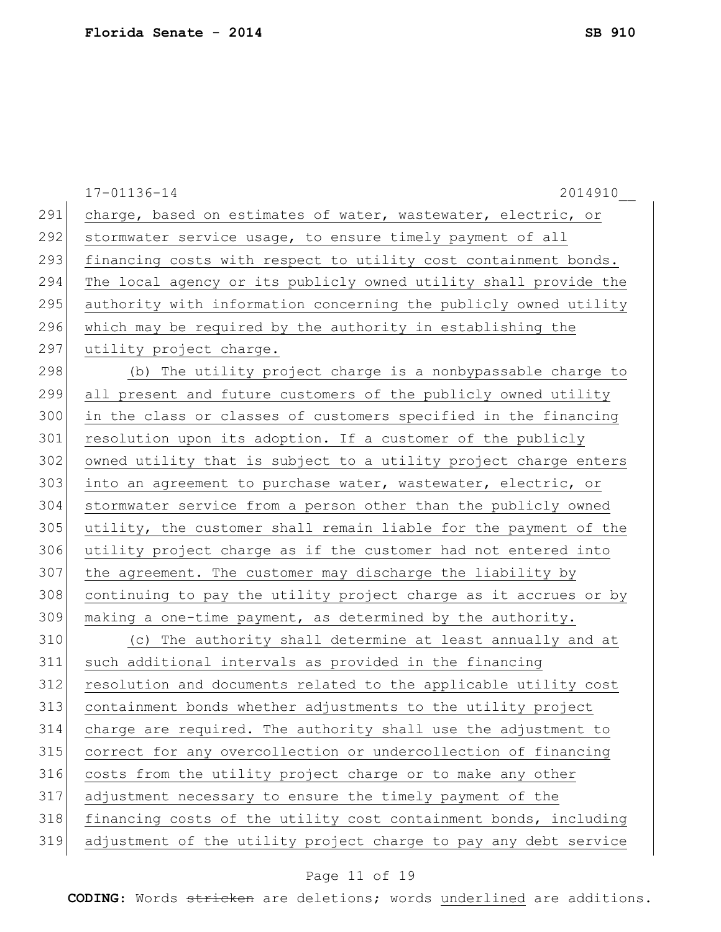|     | $17 - 01136 - 14$<br>2014910                                     |
|-----|------------------------------------------------------------------|
| 291 | charge, based on estimates of water, wastewater, electric, or    |
| 292 | stormwater service usage, to ensure timely payment of all        |
| 293 | financing costs with respect to utility cost containment bonds.  |
| 294 | The local agency or its publicly owned utility shall provide the |
| 295 | authority with information concerning the publicly owned utility |
| 296 | which may be required by the authority in establishing the       |
| 297 | utility project charge.                                          |
| 298 | (b) The utility project charge is a nonbypassable charge to      |
| 299 | all present and future customers of the publicly owned utility   |
| 300 | in the class or classes of customers specified in the financing  |
| 301 | resolution upon its adoption. If a customer of the publicly      |
| 302 | owned utility that is subject to a utility project charge enters |
| 303 | into an agreement to purchase water, wastewater, electric, or    |
| 304 | stormwater service from a person other than the publicly owned   |
| 305 | utility, the customer shall remain liable for the payment of the |
| 306 | utility project charge as if the customer had not entered into   |
| 307 | the agreement. The customer may discharge the liability by       |
| 308 | continuing to pay the utility project charge as it accrues or by |
| 309 | making a one-time payment, as determined by the authority.       |
| 310 | (c) The authority shall determine at least annually and at       |
| 311 | such additional intervals as provided in the financing           |
| 312 | resolution and documents related to the applicable utility cost  |
| 313 | containment bonds whether adjustments to the utility project     |
| 314 | charge are required. The authority shall use the adjustment to   |
| 315 | correct for any overcollection or undercollection of financing   |
| 316 | costs from the utility project charge or to make any other       |
| 317 | adjustment necessary to ensure the timely payment of the         |
| 318 | financing costs of the utility cost containment bonds, including |
| 319 | adjustment of the utility project charge to pay any debt service |
|     |                                                                  |

# Page 11 of 19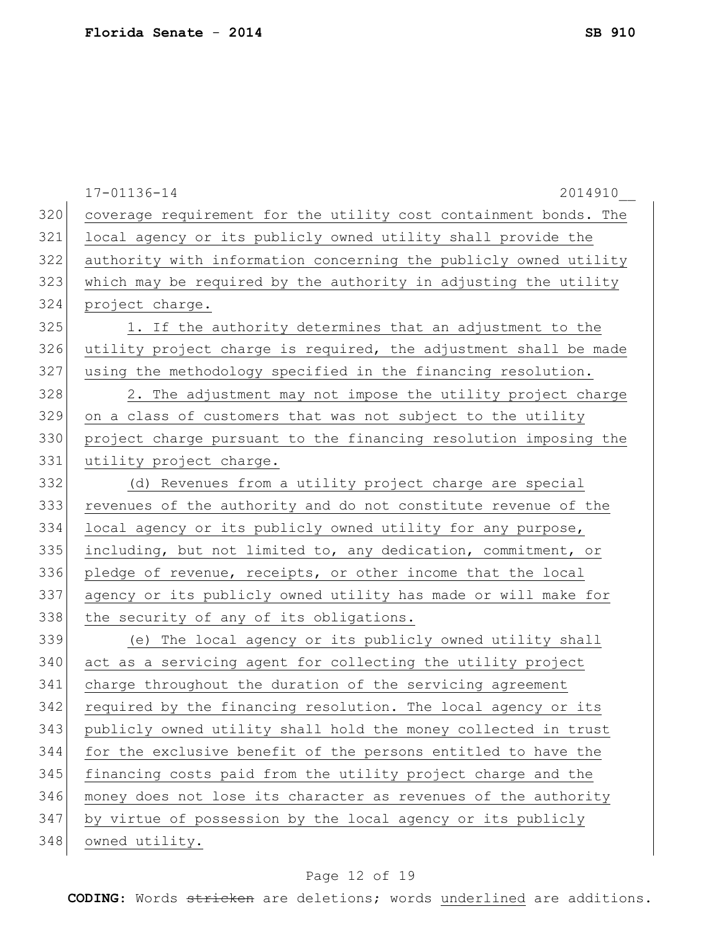|     | 2014910<br>$17 - 01136 - 14$                                     |
|-----|------------------------------------------------------------------|
| 320 | coverage requirement for the utility cost containment bonds. The |
| 321 | local agency or its publicly owned utility shall provide the     |
| 322 | authority with information concerning the publicly owned utility |
| 323 | which may be required by the authority in adjusting the utility  |
| 324 | project charge.                                                  |
| 325 | 1. If the authority determines that an adjustment to the         |
| 326 | utility project charge is required, the adjustment shall be made |
| 327 | using the methodology specified in the financing resolution.     |
| 328 | 2. The adjustment may not impose the utility project charge      |
| 329 | on a class of customers that was not subject to the utility      |
| 330 | project charge pursuant to the financing resolution imposing the |
| 331 | utility project charge.                                          |
| 332 | (d) Revenues from a utility project charge are special           |
| 333 | revenues of the authority and do not constitute revenue of the   |
| 334 | local agency or its publicly owned utility for any purpose,      |
| 335 | including, but not limited to, any dedication, commitment, or    |
| 336 | pledge of revenue, receipts, or other income that the local      |
| 337 | agency or its publicly owned utility has made or will make for   |
| 338 | the security of any of its obligations.                          |
| 339 | (e) The local agency or its publicly owned utility shall         |
| 340 | act as a servicing agent for collecting the utility project      |
| 341 | charge throughout the duration of the servicing agreement        |
| 342 | required by the financing resolution. The local agency or its    |
| 343 | publicly owned utility shall hold the money collected in trust   |
| 344 | for the exclusive benefit of the persons entitled to have the    |
| 345 | financing costs paid from the utility project charge and the     |
| 346 | money does not lose its character as revenues of the authority   |
| 347 | by virtue of possession by the local agency or its publicly      |
| 348 | owned utility.                                                   |
|     |                                                                  |

# Page 12 of 19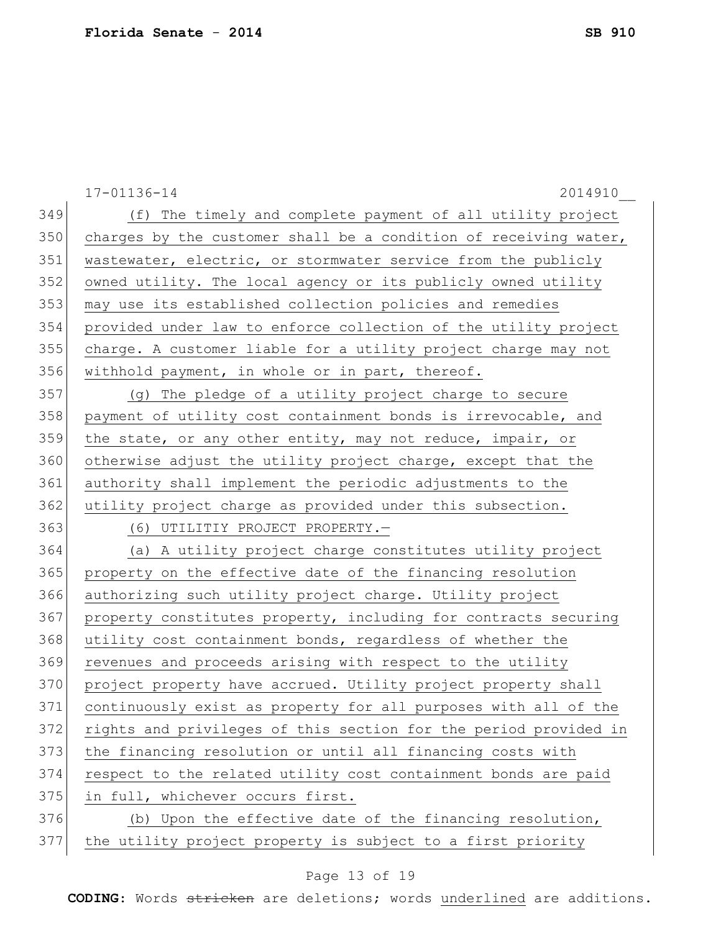|     | 17-01136-14<br>2014910                                           |
|-----|------------------------------------------------------------------|
| 349 | (f) The timely and complete payment of all utility project       |
| 350 | charges by the customer shall be a condition of receiving water, |
| 351 | wastewater, electric, or stormwater service from the publicly    |
| 352 | owned utility. The local agency or its publicly owned utility    |
| 353 | may use its established collection policies and remedies         |
| 354 | provided under law to enforce collection of the utility project  |
| 355 | charge. A customer liable for a utility project charge may not   |
| 356 | withhold payment, in whole or in part, thereof.                  |
| 357 | (g) The pledge of a utility project charge to secure             |
| 358 | payment of utility cost containment bonds is irrevocable, and    |
| 359 | the state, or any other entity, may not reduce, impair, or       |
| 360 | otherwise adjust the utility project charge, except that the     |
| 361 | authority shall implement the periodic adjustments to the        |
| 362 | utility project charge as provided under this subsection.        |
| 363 | (6) UTILITIY PROJECT PROPERTY.-                                  |
| 364 | (a) A utility project charge constitutes utility project         |
| 365 | property on the effective date of the financing resolution       |
| 366 | authorizing such utility project charge. Utility project         |
| 367 | property constitutes property, including for contracts securing  |
| 368 | utility cost containment bonds, regardless of whether the        |
| 369 | revenues and proceeds arising with respect to the utility        |
| 370 | project property have accrued. Utility project property shall    |
| 371 | continuously exist as property for all purposes with all of the  |
| 372 | rights and privileges of this section for the period provided in |
| 373 | the financing resolution or until all financing costs with       |
| 374 | respect to the related utility cost containment bonds are paid   |
| 375 | in full, whichever occurs first.                                 |
| 376 | (b) Upon the effective date of the financing resolution,         |
| 377 | the utility project property is subject to a first priority      |

# Page 13 of 19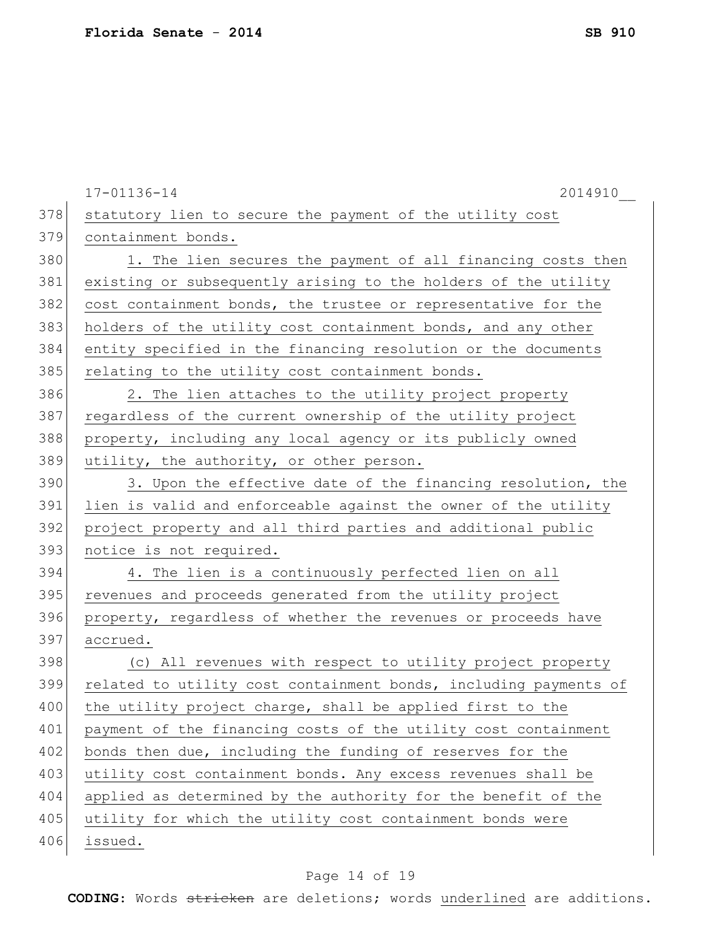|     | 17-01136-14<br>2014910                                           |
|-----|------------------------------------------------------------------|
| 378 | statutory lien to secure the payment of the utility cost         |
| 379 | containment bonds.                                               |
| 380 | 1. The lien secures the payment of all financing costs then      |
| 381 | existing or subsequently arising to the holders of the utility   |
| 382 | cost containment bonds, the trustee or representative for the    |
| 383 | holders of the utility cost containment bonds, and any other     |
| 384 | entity specified in the financing resolution or the documents    |
| 385 | relating to the utility cost containment bonds.                  |
| 386 | 2. The lien attaches to the utility project property             |
| 387 | regardless of the current ownership of the utility project       |
| 388 | property, including any local agency or its publicly owned       |
| 389 | utility, the authority, or other person.                         |
| 390 | 3. Upon the effective date of the financing resolution, the      |
| 391 | lien is valid and enforceable against the owner of the utility   |
| 392 | project property and all third parties and additional public     |
| 393 | notice is not required.                                          |
| 394 | 4. The lien is a continuously perfected lien on all              |
| 395 | revenues and proceeds generated from the utility project         |
| 396 | property, regardless of whether the revenues or proceeds have    |
| 397 | accrued.                                                         |
| 398 | (c) All revenues with respect to utility project property        |
| 399 | related to utility cost containment bonds, including payments of |
| 400 | the utility project charge, shall be applied first to the        |
| 401 | payment of the financing costs of the utility cost containment   |
| 402 | bonds then due, including the funding of reserves for the        |
| 403 | utility cost containment bonds. Any excess revenues shall be     |
| 404 | applied as determined by the authority for the benefit of the    |
| 405 | utility for which the utility cost containment bonds were        |
| 406 | issued.                                                          |
|     |                                                                  |

# Page 14 of 19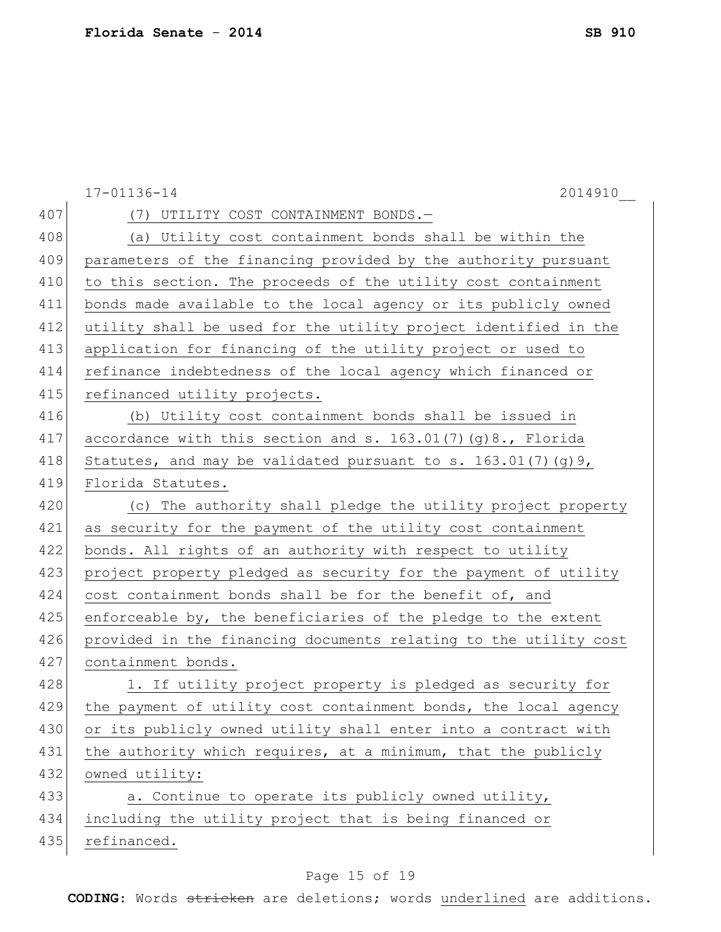|     | $17 - 01136 - 14$<br>2014910                                     |
|-----|------------------------------------------------------------------|
| 407 | (7) UTILITY COST CONTAINMENT BONDS.-                             |
| 408 | (a) Utility cost containment bonds shall be within the           |
| 409 | parameters of the financing provided by the authority pursuant   |
| 410 | to this section. The proceeds of the utility cost containment    |
| 411 | bonds made available to the local agency or its publicly owned   |
| 412 | utility shall be used for the utility project identified in the  |
| 413 | application for financing of the utility project or used to      |
| 414 | refinance indebtedness of the local agency which financed or     |
| 415 | refinanced utility projects.                                     |
| 416 | (b) Utility cost containment bonds shall be issued in            |
| 417 | accordance with this section and s. 163.01(7)(g)8., Florida      |
| 418 | Statutes, and may be validated pursuant to s. $163.01(7)(q)9$ ,  |
| 419 | Florida Statutes.                                                |
| 420 | (c) The authority shall pledge the utility project property      |
| 421 | as security for the payment of the utility cost containment      |
| 422 | bonds. All rights of an authority with respect to utility        |
| 423 | project property pledged as security for the payment of utility  |
| 424 | cost containment bonds shall be for the benefit of, and          |
| 425 | enforceable by, the beneficiaries of the pledge to the extent    |
| 426 | provided in the financing documents relating to the utility cost |
| 427 | containment bonds.                                               |
| 428 | 1. If utility project property is pledged as security for        |
| 429 | the payment of utility cost containment bonds, the local agency  |
| 430 | or its publicly owned utility shall enter into a contract with   |
| 431 | the authority which requires, at a minimum, that the publicly    |
| 432 | owned utility:                                                   |
| 433 | a. Continue to operate its publicly owned utility,               |
| 434 | including the utility project that is being financed or          |
| 435 | refinanced.                                                      |
|     |                                                                  |

# Page 15 of 19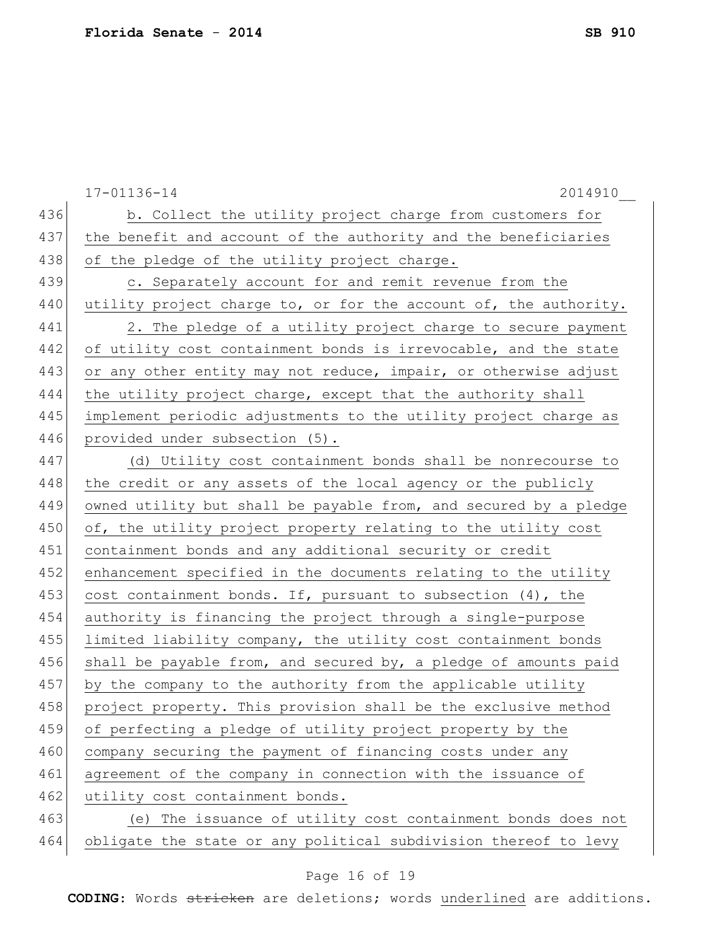|     | $17 - 01136 - 14$<br>2014910                                     |
|-----|------------------------------------------------------------------|
| 436 | b. Collect the utility project charge from customers for         |
| 437 | the benefit and account of the authority and the beneficiaries   |
| 438 | of the pledge of the utility project charge.                     |
| 439 | c. Separately account for and remit revenue from the             |
| 440 | utility project charge to, or for the account of, the authority. |
| 441 | 2. The pledge of a utility project charge to secure payment      |
| 442 | of utility cost containment bonds is irrevocable, and the state  |
| 443 | or any other entity may not reduce, impair, or otherwise adjust  |
| 444 | the utility project charge, except that the authority shall      |
| 445 | implement periodic adjustments to the utility project charge as  |
| 446 | provided under subsection (5).                                   |
| 447 | (d) Utility cost containment bonds shall be nonrecourse to       |
| 448 | the credit or any assets of the local agency or the publicly     |
| 449 | owned utility but shall be payable from, and secured by a pledge |
| 450 | of, the utility project property relating to the utility cost    |
| 451 | containment bonds and any additional security or credit          |
| 452 | enhancement specified in the documents relating to the utility   |
| 453 | cost containment bonds. If, pursuant to subsection (4), the      |
| 454 | authority is financing the project through a single-purpose      |
| 455 | limited liability company, the utility cost containment bonds    |
| 456 | shall be payable from, and secured by, a pledge of amounts paid  |
| 457 | by the company to the authority from the applicable utility      |
| 458 | project property. This provision shall be the exclusive method   |
| 459 | of perfecting a pledge of utility project property by the        |
| 460 | company securing the payment of financing costs under any        |
| 461 | agreement of the company in connection with the issuance of      |
| 462 | utility cost containment bonds.                                  |
| 463 | (e) The issuance of utility cost containment bonds does not      |
| 464 | obligate the state or any political subdivision thereof to levy  |

# Page 16 of 19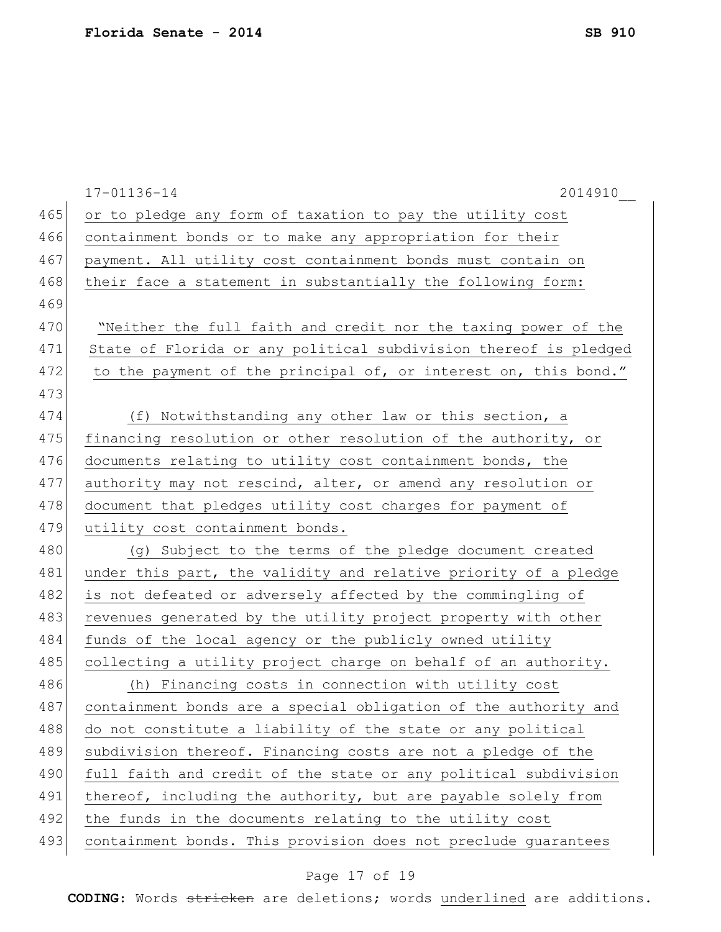|     | 17-01136-14<br>2014910                                           |
|-----|------------------------------------------------------------------|
| 465 | or to pledge any form of taxation to pay the utility cost        |
| 466 | containment bonds or to make any appropriation for their         |
| 467 | payment. All utility cost containment bonds must contain on      |
| 468 | their face a statement in substantially the following form:      |
| 469 |                                                                  |
| 470 | "Neither the full faith and credit nor the taxing power of the   |
| 471 | State of Florida or any political subdivision thereof is pledged |
| 472 | to the payment of the principal of, or interest on, this bond."  |
| 473 |                                                                  |
| 474 | (f) Notwithstanding any other law or this section, a             |
| 475 | financing resolution or other resolution of the authority, or    |
| 476 | documents relating to utility cost containment bonds, the        |
| 477 | authority may not rescind, alter, or amend any resolution or     |
| 478 | document that pledges utility cost charges for payment of        |
| 479 | utility cost containment bonds.                                  |
| 480 | (g) Subject to the terms of the pledge document created          |
| 481 | under this part, the validity and relative priority of a pledge  |
| 482 | is not defeated or adversely affected by the commingling of      |
| 483 | revenues generated by the utility project property with other    |
| 484 | funds of the local agency or the publicly owned utility          |
| 485 | collecting a utility project charge on behalf of an authority.   |
| 486 | (h) Financing costs in connection with utility cost              |
| 487 | containment bonds are a special obligation of the authority and  |
| 488 | do not constitute a liability of the state or any political      |
| 489 | subdivision thereof. Financing costs are not a pledge of the     |
| 490 | full faith and credit of the state or any political subdivision  |
| 491 | thereof, including the authority, but are payable solely from    |
| 492 | the funds in the documents relating to the utility cost          |
| 493 | containment bonds. This provision does not preclude guarantees   |
|     |                                                                  |

# Page 17 of 19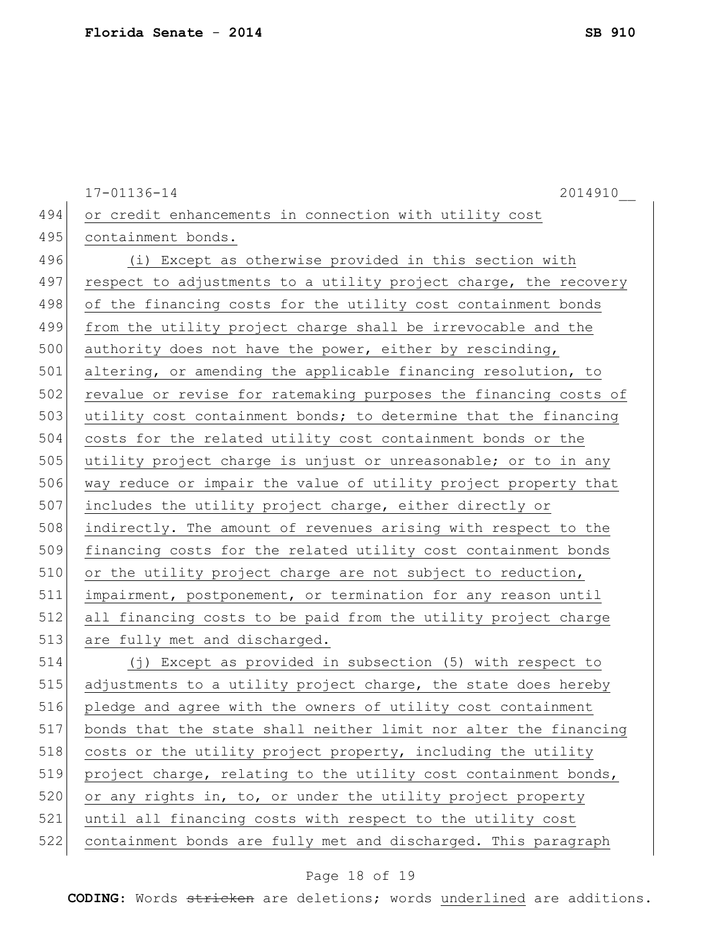17-01136-14 2014910\_\_ 494 or credit enhancements in connection with utility cost 495 containment bonds. 496 (i) Except as otherwise provided in this section with 497 respect to adjustments to a utility project charge, the recovery 498 of the financing costs for the utility cost containment bonds 499 from the utility project charge shall be irrevocable and the 500 authority does not have the power, either by rescinding, 501 altering, or amending the applicable financing resolution, to 502 revalue or revise for ratemaking purposes the financing costs of 503 utility cost containment bonds; to determine that the financing 504 costs for the related utility cost containment bonds or the 505 utility project charge is unjust or unreasonable; or to in any 506 way reduce or impair the value of utility project property that 507 includes the utility project charge, either directly or 508 indirectly. The amount of revenues arising with respect to the 509 financing costs for the related utility cost containment bonds 510 or the utility project charge are not subject to reduction, 511 impairment, postponement, or termination for any reason until 512 all financing costs to be paid from the utility project charge 513 are fully met and discharged. 514 (j) Except as provided in subsection (5) with respect to 515 adjustments to a utility project charge, the state does hereby 516 pledge and agree with the owners of utility cost containment 517 bonds that the state shall neither limit nor alter the financing 518 costs or the utility project property, including the utility 519 project charge, relating to the utility cost containment bonds, 520 or any rights in, to, or under the utility project property 521 until all financing costs with respect to the utility cost 522 containment bonds are fully met and discharged. This paragraph

## Page 18 of 19